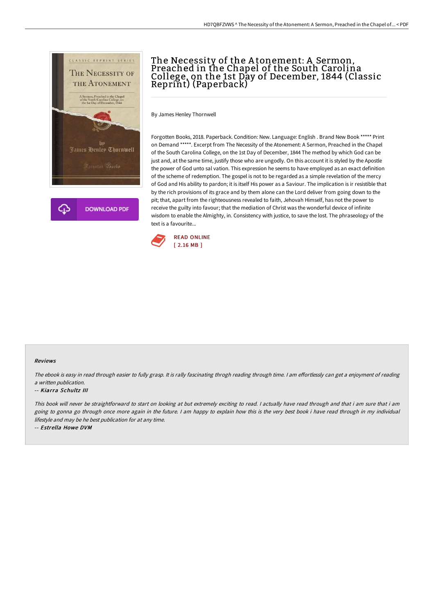

# The Necessity of the A tonement: A Sermon, Preached in the Chapel of the South Carolina College, on the 1st Day of December, 1844 (Classic Reprint) (Paperback)

By James Henley Thornwell

Forgotten Books, 2018. Paperback. Condition: New. Language: English . Brand New Book \*\*\*\*\* Print on Demand \*\*\*\*\*. Excerpt from The Necessity of the Atonement: A Sermon, Preached in the Chapel of the South Carolina College, on the 1st Day of December, 1844 The method by which God can be just and, at the same time, justify those who are ungodly. On this account it is styled by the Apostle the power of God unto sal vation. This expression he seems to have employed as an exact definition of the scheme of redemption. The gospel is not to be regarded as a simple revelation of the mercy of God and His ability to pardon; it is itself His power as a Saviour. The implication is ir resistible that by the rich provisions of its grace and by them alone can the Lord deliver from going down to the pit; that, apart from the righteousness revealed to faith, Jehovah Himself, has not the power to receive the guilty into favour; that the mediation of Christ was the wonderful device of infinite wisdom to enable the Almighty, in. Consistency with justice, to save the lost. The phraseology of the text is a favourite...



#### Reviews

The ebook is easy in read through easier to fully grasp. It is rally fascinating throgh reading through time. I am effortlessly can get a enjoyment of reading <sup>a</sup> written publication.

#### -- Kiarra Schultz III

This book will never be straightforward to start on looking at but extremely exciting to read. <sup>I</sup> actually have read through and that i am sure that i am going to gonna go through once more again in the future. I am happy to explain how this is the very best book i have read through in my individual lifestyle and may be he best publication for at any time.

-- Estrella Howe DVM